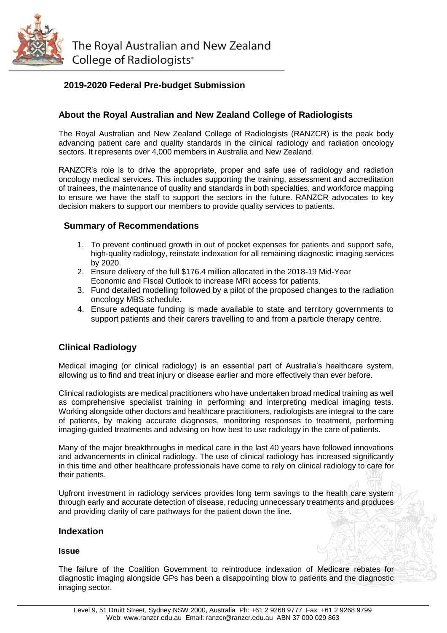

The Royal Australian and New Zealand College of Radiologists<sup>®</sup>

# **2019-2020 Federal Pre-budget Submission**

# **About the Royal Australian and New Zealand College of Radiologists**

The Royal Australian and New Zealand College of Radiologists (RANZCR) is the peak body advancing patient care and quality standards in the clinical radiology and radiation oncology sectors. It represents over 4,000 members in Australia and New Zealand.

RANZCR's role is to drive the appropriate, proper and safe use of radiology and radiation oncology medical services. This includes supporting the training, assessment and accreditation of trainees, the maintenance of quality and standards in both specialties, and workforce mapping to ensure we have the staff to support the sectors in the future. RANZCR advocates to key decision makers to support our members to provide quality services to patients.

## **Summary of Recommendations**

- 1. To prevent continued growth in out of pocket expenses for patients and support safe, high-quality radiology, reinstate indexation for all remaining diagnostic imaging services by 2020.
- 2. Ensure delivery of the full \$176.4 million allocated in the 2018-19 Mid-Year Economic and Fiscal Outlook to increase MRI access for patients.
- 3. Fund detailed modelling followed by a pilot of the proposed changes to the radiation oncology MBS schedule.
- 4. Ensure adequate funding is made available to state and territory governments to support patients and their carers travelling to and from a particle therapy centre.

# **Clinical Radiology**

Medical imaging (or clinical radiology) is an essential part of Australia's healthcare system, allowing us to find and treat injury or disease earlier and more effectively than ever before.

Clinical radiologists are medical practitioners who have undertaken broad medical training as well as comprehensive specialist training in performing and interpreting medical imaging tests. Working alongside other doctors and healthcare practitioners, radiologists are integral to the care of patients, by making accurate diagnoses, monitoring responses to treatment, performing imaging-guided treatments and advising on how best to use radiology in the care of patients.

Many of the major breakthroughs in medical care in the last 40 years have followed innovations and advancements in clinical radiology. The use of clinical radiology has increased significantly in this time and other healthcare professionals have come to rely on clinical radiology to care for their patients.

Upfront investment in radiology services provides long term savings to the health care system through early and accurate detection of disease, reducing unnecessary treatments and produces and providing clarity of care pathways for the patient down the line.

#### **Indexation**

#### **Issue**

The failure of the Coalition Government to reintroduce indexation of Medicare rebates for diagnostic imaging alongside GPs has been a disappointing blow to patients and the diagnostic imaging sector.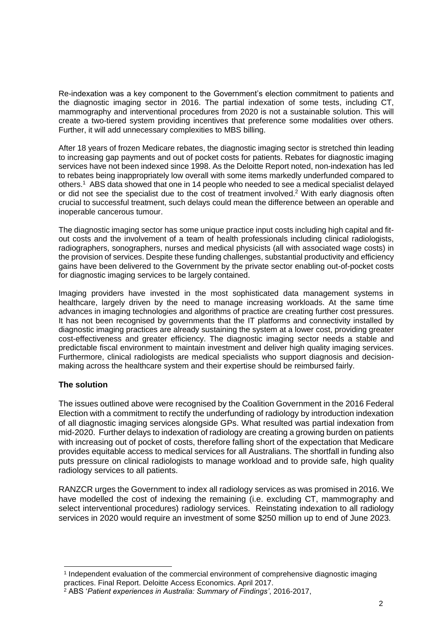Re-indexation was a key component to the Government's election commitment to patients and the diagnostic imaging sector in 2016. The partial indexation of some tests, including CT, mammography and interventional procedures from 2020 is not a sustainable solution. This will create a two-tiered system providing incentives that preference some modalities over others. Further, it will add unnecessary complexities to MBS billing.

After 18 years of frozen Medicare rebates, the diagnostic imaging sector is stretched thin leading to increasing gap payments and out of pocket costs for patients. Rebates for diagnostic imaging services have not been indexed since 1998. As the Deloitte Report noted, non-indexation has led to rebates being inappropriately low overall with some items markedly underfunded compared to others. 1 ABS data showed that one in 14 people who needed to see a medical specialist delayed or did not see the specialist due to the cost of treatment involved.<sup>2</sup> With early diagnosis often crucial to successful treatment, such delays could mean the difference between an operable and inoperable cancerous tumour.

The diagnostic imaging sector has some unique practice input costs including high capital and fitout costs and the involvement of a team of health professionals including clinical radiologists, radiographers, sonographers, nurses and medical physicists (all with associated wage costs) in the provision of services. Despite these funding challenges, substantial productivity and efficiency gains have been delivered to the Government by the private sector enabling out-of-pocket costs for diagnostic imaging services to be largely contained.

Imaging providers have invested in the most sophisticated data management systems in healthcare, largely driven by the need to manage increasing workloads. At the same time advances in imaging technologies and algorithms of practice are creating further cost pressures. It has not been recognised by governments that the IT platforms and connectivity installed by diagnostic imaging practices are already sustaining the system at a lower cost, providing greater cost-effectiveness and greater efficiency. The diagnostic imaging sector needs a stable and predictable fiscal environment to maintain investment and deliver high quality imaging services. Furthermore, clinical radiologists are medical specialists who support diagnosis and decisionmaking across the healthcare system and their expertise should be reimbursed fairly.

## **The solution**

-

The issues outlined above were recognised by the Coalition Government in the 2016 Federal Election with a commitment to rectify the underfunding of radiology by introduction indexation of all diagnostic imaging services alongside GPs. What resulted was partial indexation from mid-2020. Further delays to indexation of radiology are creating a growing burden on patients with increasing out of pocket of costs, therefore falling short of the expectation that Medicare provides equitable access to medical services for all Australians. The shortfall in funding also puts pressure on clinical radiologists to manage workload and to provide safe, high quality radiology services to all patients.

RANZCR urges the Government to index all radiology services as was promised in 2016. We have modelled the cost of indexing the remaining (i.e. excluding CT, mammography and select interventional procedures) radiology services. Reinstating indexation to all radiology services in 2020 would require an investment of some \$250 million up to end of June 2023.

<sup>1</sup> Independent evaluation of the commercial environment of comprehensive diagnostic imaging practices. Final Report. Deloitte Access Economics. April 2017.

<sup>2</sup> ABS '*Patient experiences in Australia: Summary of Findings'*, 2016-2017,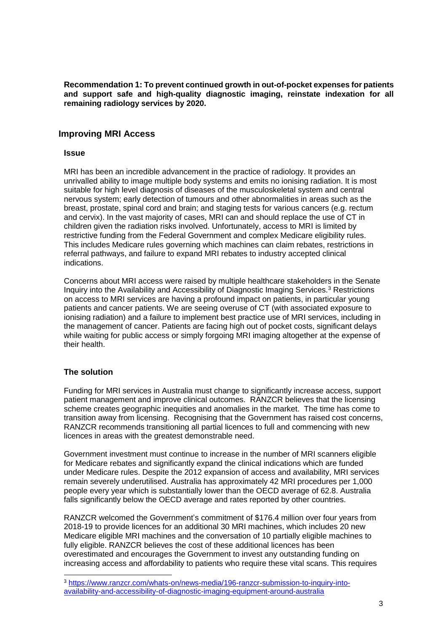**Recommendation 1: To prevent continued growth in out-of-pocket expenses for patients and support safe and high-quality diagnostic imaging, reinstate indexation for all remaining radiology services by 2020.**

#### **Improving MRI Access**

#### **Issue**

MRI has been an incredible advancement in the practice of radiology. It provides an unrivalled ability to image multiple body systems and emits no ionising radiation. It is most suitable for high level diagnosis of diseases of the musculoskeletal system and central nervous system; early detection of tumours and other abnormalities in areas such as the breast, prostate, spinal cord and brain; and staging tests for various cancers (e.g. rectum and cervix). In the vast majority of cases, MRI can and should replace the use of CT in children given the radiation risks involved. Unfortunately, access to MRI is limited by restrictive funding from the Federal Government and complex Medicare eligibility rules. This includes Medicare rules governing which machines can claim rebates, restrictions in referral pathways, and failure to expand MRI rebates to industry accepted clinical indications.

Concerns about MRI access were raised by multiple healthcare stakeholders in the Senate Inquiry into the Availability and Accessibility of Diagnostic Imaging Services.<sup>3</sup> Restrictions on access to MRI services are having a profound impact on patients, in particular young patients and cancer patients. We are seeing overuse of CT (with associated exposure to ionising radiation) and a failure to implement best practice use of MRI services, including in the management of cancer. Patients are facing high out of pocket costs, significant delays while waiting for public access or simply forgoing MRI imaging altogether at the expense of their health.

#### **The solution**

-

Funding for MRI services in Australia must change to significantly increase access, support patient management and improve clinical outcomes. RANZCR believes that the licensing scheme creates geographic inequities and anomalies in the market. The time has come to transition away from licensing. Recognising that the Government has raised cost concerns, RANZCR recommends transitioning all partial licences to full and commencing with new licences in areas with the greatest demonstrable need.

Government investment must continue to increase in the number of MRI scanners eligible for Medicare rebates and significantly expand the clinical indications which are funded under Medicare rules. Despite the 2012 expansion of access and availability, MRI services remain severely underutilised. Australia has approximately 42 MRI procedures per 1,000 people every year which is substantially lower than the OECD average of 62.8. Australia falls significantly below the OECD average and rates reported by other countries.

RANZCR welcomed the Government's commitment of \$176.4 million over four years from 2018-19 to provide licences for an additional 30 MRI machines, which includes 20 new Medicare eligible MRI machines and the conversation of 10 partially eligible machines to fully eligible. RANZCR believes the cost of these additional licences has been overestimated and encourages the Government to invest any outstanding funding on increasing access and affordability to patients who require these vital scans. This requires

<sup>3</sup> [https://www.ranzcr.com/whats-on/news-media/196-ranzcr-submission-to-inquiry-into](https://www.ranzcr.com/whats-on/news-media/196-ranzcr-submission-to-inquiry-into-availability-and-accessibility-of-diagnostic-imaging-equipment-around-australia)[availability-and-accessibility-of-diagnostic-imaging-equipment-around-australia](https://www.ranzcr.com/whats-on/news-media/196-ranzcr-submission-to-inquiry-into-availability-and-accessibility-of-diagnostic-imaging-equipment-around-australia)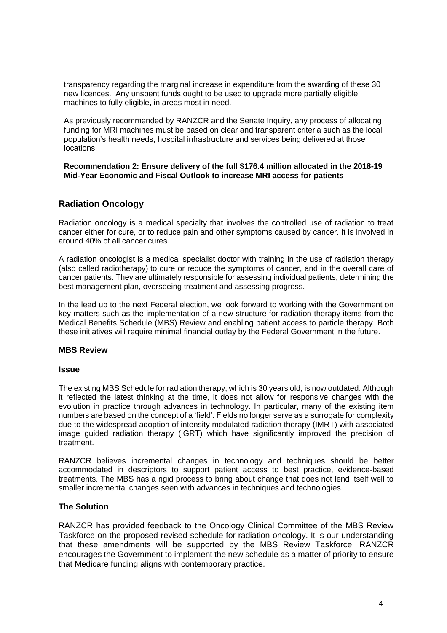transparency regarding the marginal increase in expenditure from the awarding of these 30 new licences. Any unspent funds ought to be used to upgrade more partially eligible machines to fully eligible, in areas most in need.

As previously recommended by RANZCR and the Senate Inquiry, any process of allocating funding for MRI machines must be based on clear and transparent criteria such as the local population's health needs, hospital infrastructure and services being delivered at those locations.

**Recommendation 2: Ensure delivery of the full \$176.4 million allocated in the 2018-19 Mid-Year Economic and Fiscal Outlook to increase MRI access for patients**

## **Radiation Oncology**

Radiation oncology is a medical specialty that involves the controlled use of radiation to treat cancer either for cure, or to reduce pain and other symptoms caused by cancer. It is involved in around 40% of all cancer cures.

A radiation oncologist is a medical specialist doctor with training in the use of radiation therapy (also called radiotherapy) to cure or reduce the symptoms of cancer, and in the overall care of cancer patients. They are ultimately responsible for assessing individual patients, determining the best management plan, overseeing treatment and assessing progress.

In the lead up to the next Federal election, we look forward to working with the Government on key matters such as the implementation of a new structure for radiation therapy items from the Medical Benefits Schedule (MBS) Review and enabling patient access to particle therapy. Both these initiatives will require minimal financial outlay by the Federal Government in the future.

#### **MBS Review**

#### **Issue**

The existing MBS Schedule for radiation therapy, which is 30 years old, is now outdated. Although it reflected the latest thinking at the time, it does not allow for responsive changes with the evolution in practice through advances in technology. In particular, many of the existing item numbers are based on the concept of a 'field'. Fields no longer serve as a surrogate for complexity due to the widespread adoption of intensity modulated radiation therapy (IMRT) with associated image guided radiation therapy (IGRT) which have significantly improved the precision of treatment.

RANZCR believes incremental changes in technology and techniques should be better accommodated in descriptors to support patient access to best practice, evidence-based treatments. The MBS has a rigid process to bring about change that does not lend itself well to smaller incremental changes seen with advances in techniques and technologies.

#### **The Solution**

RANZCR has provided feedback to the Oncology Clinical Committee of the MBS Review Taskforce on the proposed revised schedule for radiation oncology. It is our understanding that these amendments will be supported by the MBS Review Taskforce. RANZCR encourages the Government to implement the new schedule as a matter of priority to ensure that Medicare funding aligns with contemporary practice.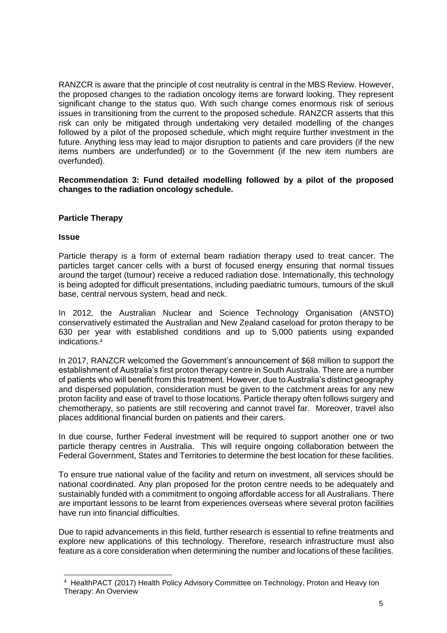RANZCR is aware that the principle of cost neutrality is central in the MBS Review. However, the proposed changes to the radiation oncology items are forward looking. They represent significant change to the status quo. With such change comes enormous risk of serious issues in transitioning from the current to the proposed schedule. RANZCR asserts that this risk can only be mitigated through undertaking very detailed modelling of the changes followed by a pilot of the proposed schedule, which might require further investment in the future. Anything less may lead to major disruption to patients and care providers (if the new items numbers are underfunded) or to the Government (if the new item numbers are overfunded).

**Recommendation 3: Fund detailed modelling followed by a pilot of the proposed changes to the radiation oncology schedule.**

## **Particle Therapy**

#### **Issue**

-

Particle therapy is a form of external beam radiation therapy used to treat cancer. The particles target cancer cells with a burst of focused energy ensuring that normal tissues around the target (tumour) receive a reduced radiation dose. Internationally, this technology is being adopted for difficult presentations, including paediatric tumours, tumours of the skull base, central nervous system, head and neck.

In 2012, the Australian Nuclear and Science Technology Organisation (ANSTO) conservatively estimated the Australian and New Zealand caseload for proton therapy to be 630 per year with established conditions and up to 5,000 patients using expanded indications. 4

In 2017, RANZCR welcomed the Government's announcement of \$68 million to support the establishment of Australia's first proton therapy centre in South Australia. There are a number of patients who will benefit from this treatment. However, due to Australia's distinct geography and dispersed population, consideration must be given to the catchment areas for any new proton facility and ease of travel to those locations. Particle therapy often follows surgery and chemotherapy, so patients are still recovering and cannot travel far. Moreover, travel also places additional financial burden on patients and their carers.

In due course, further Federal investment will be required to support another one or two particle therapy centres in Australia. This will require ongoing collaboration between the Federal Government, States and Territories to determine the best location for these facilities.

To ensure true national value of the facility and return on investment, all services should be national coordinated. Any plan proposed for the proton centre needs to be adequately and sustainably funded with a commitment to ongoing affordable access for all Australians. There are important lessons to be learnt from experiences overseas where several proton facilities have run into financial difficulties.

Due to rapid advancements in this field, further research is essential to refine treatments and explore new applications of this technology. Therefore, research infrastructure must also feature as a core consideration when determining the number and locations of these facilities.

<sup>4</sup> HealthPACT (2017) Health Policy Advisory Committee on Technology, Proton and Heavy Ion Therapy: An Overview